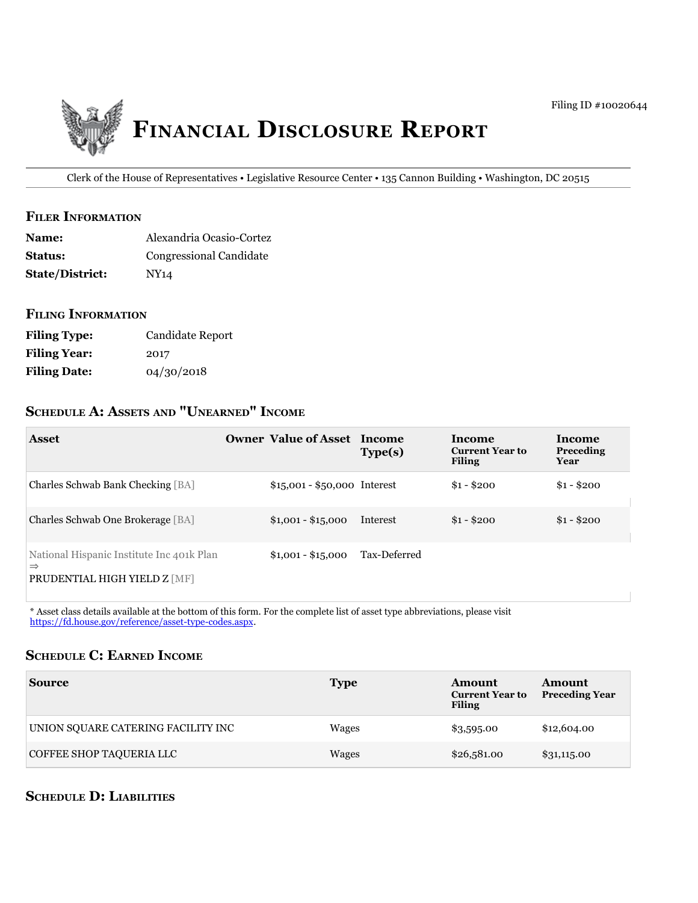

Clerk of the House of Representatives • Legislative Resource Center • 135 Cannon Building • Washington, DC 20515

#### **filer information**

| <b>Name:</b>           | Alexandria Ocasio-Cortez |
|------------------------|--------------------------|
| <b>Status:</b>         | Congressional Candidate  |
| <b>State/District:</b> | NY <sub>14</sub>         |

## **filing information**

| <b>Filing Type:</b> | Candidate Report |
|---------------------|------------------|
| <b>Filing Year:</b> | 2017             |
| <b>Filing Date:</b> | 04/30/2018       |

# **ScheDule a: aSSetS anD "unearneD" income**

| <b>Asset</b>                                                                               | <b>Owner Value of Asset Income</b> | Type(s)      | <b>Income</b><br><b>Current Year to</b><br><b>Filing</b> | <b>Income</b><br>Preceding<br>Year |
|--------------------------------------------------------------------------------------------|------------------------------------|--------------|----------------------------------------------------------|------------------------------------|
| Charles Schwab Bank Checking [BA]                                                          | $$15,001 - $50,000$ Interest       |              | $$1 - $200$                                              | $$1 - $200$                        |
| Charles Schwab One Brokerage [BA]                                                          | $$1,001 - $15,000$                 | Interest     | $$1 - $200$                                              | $$1 - $200$                        |
| National Hispanic Institute Inc 401k Plan<br>$\Rightarrow$<br>PRUDENTIAL HIGH YIELD Z [MF] | $$1,001 - $15,000$                 | Tax-Deferred |                                                          |                                    |

\* Asset class details available at the bottom of this form. For the complete list of asset type abbreviations, please visit [https://fd.house.gov/reference/asset-type-codes.aspx.](https://fd.house.gov/reference/asset-type-codes.aspx)

## **ScheDule c: earneD income**

| <b>Source</b>                      | <b>Type</b> | Amount<br><b>Current Year to</b><br><b>Filing</b> | Amount<br><b>Preceding Year</b> |
|------------------------------------|-------------|---------------------------------------------------|---------------------------------|
| UNION SQUARE CATERING FACILITY INC | Wages       | \$3,595.00                                        | \$12,604.00                     |
| COFFEE SHOP TAQUERIA LLC           | Wages       | \$26,581.00                                       | \$31,115.00                     |

# **ScheDule D: liabilitieS**